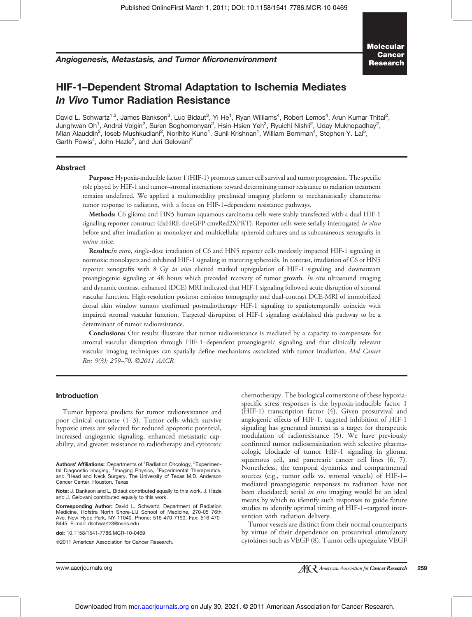Angiogenesis, Metastasis, and Tumor Micronenvironment

## HIF-1–Dependent Stromal Adaptation to Ischemia Mediates In Vivo Tumor Radiation Resistance

David L. Schwartz<sup>1,2</sup>, James Bankson<sup>3</sup>, Luc Bidaut<sup>3</sup>, Yi He<sup>1</sup>, Ryan Williams<sup>4</sup>, Robert Lemos<sup>4</sup>, Arun Kumar Thitai<sup>2</sup>, Junghwan Oh<sup>1</sup>, Andrei Volgin<sup>2</sup>, Suren Soghomonyan<sup>2</sup>, Hsin-Hsien Yeh<sup>2</sup>, Ryuichi Nishii<sup>2</sup>, Uday Mukhopadhay<sup>2</sup>, Mian Alauddin<sup>2</sup>, loseb Mushkudiani<sup>2</sup>, Norihito Kuno<sup>1</sup>, Sunil Krishnan<sup>1</sup>, William Bornman<sup>4</sup>, Stephen Y. Lai<sup>5</sup>, Garth Powis<sup>4</sup>, John Hazle<sup>3</sup>, and Juri Gelovani<sup>2</sup>

## Abstract

Purpose: Hypoxia-inducible factor 1 (HIF-1) promotes cancer cell survival and tumor progression. The specific role played by HIF-1 and tumor–stromal interactions toward determining tumor resistance to radiation treatment remains undefined. We applied a multimodality preclinical imaging platform to mechanistically characterize tumor response to radiation, with a focus on HIF-1–dependent resistance pathways.

Methods: C6 glioma and HN5 human squamous carcinoma cells were stably transfected with a dual HIF-1 signaling reporter construct (dxHRE-tk/eGFP-cmvRed2XPRT). Reporter cells were serially interrogated in vitro before and after irradiation as monolayer and multicellular spheroid cultures and as subcutaneous xenografts in nu/nu mice.

Results:In vitro, single-dose irradiation of C6 and HN5 reporter cells modestly impacted HIF-1 signaling in normoxic monolayers and inhibited HIF-1 signaling in maturing spheroids. In contrast, irradiation of C6 or HN5 reporter xenografts with 8 Gy in vivo elicited marked upregulation of HIF-1 signaling and downstream proangiogenic signaling at 48 hours which preceded recovery of tumor growth. In situ ultrasound imaging and dynamic contrast-enhanced (DCE) MRI indicated that HIF-1 signaling followed acute disruption of stromal vascular function. High-resolution positron emission tomography and dual-contrast DCE-MRI of immobilized dorsal skin window tumors confirmed postradiotherapy HIF-1 signaling to spatiotemporally coincide with impaired stromal vascular function. Targeted disruption of HIF-1 signaling established this pathway to be a determinant of tumor radioresistance.

Conclusions: Our results illustrate that tumor radioresistance is mediated by a capacity to compensate for stromal vascular disruption through HIF-1–dependent proangiogenic signaling and that clinically relevant vascular imaging techniques can spatially define mechanisms associated with tumor irradiation. Mol Cancer Res; 9(3); 259-70. 2011 AACR.

## Introduction

Tumor hypoxia predicts for tumor radioresistance and poor clinical outcome (1–3). Tumor cells which survive hypoxic stress are selected for reduced apoptotic potential, increased angiogenic signaling, enhanced metastatic capability, and greater resistance to radiotherapy and cytotoxic

doi: 10.1158/1541-7786.MCR-10-0469

specific stress responses is the hypoxia-inducible factor 1 (HIF-1) transcription factor (4). Given prosurvival and angiogenic effects of HIF-1, targeted inhibition of HIF-1 signaling has generated interest as a target for therapeutic modulation of radioresistance (5). We have previously confirmed tumor radiosensitization with selective pharmacologic blockade of tumor HIF-1 signaling in glioma, squamous cell, and pancreatic cancer cell lines (6, 7). Nonetheless, the temporal dynamics and compartmental sources (e.g., tumor cells vs. stromal vessels) of HIF-1– mediated proangiogenic responses to radiation have not been elucidated; serial in situ imaging would be an ideal means by which to identify such responses to guide future studies to identify optimal timing of HIF-1–targeted intervention with radiation delivery.

chemotherapy. The biological cornerstone of these hypoxia-

Tumor vessels are distinct from their normal counterparts by virtue of their dependence on prosurvival stimulatory cytokines such as VEGF (8). Tumor cells upregulate VEGF

Authors' Affiliations: Departments of <sup>1</sup>Radiation Oncology, <sup>2</sup>Experimen-<br>tal Diagnostic Imaging, <sup>3</sup>Imaging Physics, <sup>4</sup>Experimental Therapeutics, and <sup>5</sup>Head and Neck Surgery, The University of Texas M.D. Anderson Cancer Center, Houston, Texas

Note: J. Bankson and L. Bidaut contributed equally to this work. J. Hazle and J. Gelovani contributed equally to this work.

Corresponding Author: David L. Schwartz, Department of Radiation Medicine, Hofstra North Shore-LIJ School of Medicine, 270-05 76th Ave. New Hyde Park, NY 11040. Phone: 516-470-7190; Fax: 516-470- 8445. E-mail: dschwartz3@nshs.edu

<sup>2011</sup> American Association for Cancer Research.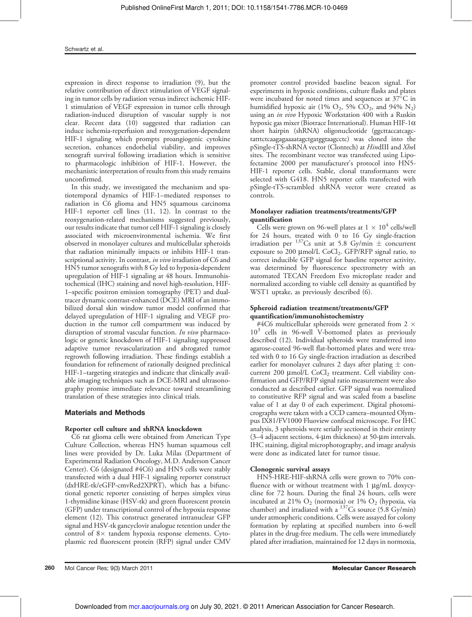expression in direct response to irradiation (9), but the relative contribution of direct stimulation of VEGF signaling in tumor cells by radiation versus indirect ischemic HIF-1 stimulation of VEGF expression in tumor cells through radiation-induced disruption of vascular supply is not clear. Recent data (10) suggested that radiation can induce ischemia-reperfusion and reoxygenation-dependent HIF-1 signaling which prompts proangiogenic cytokine secretion, enhances endothelial viability, and improves xenograft survival following irradiation which is sensitive to pharmacologic inhibition of HIF-1. However, the mechanistic interpretation of results from this study remains unconfirmed.

In this study, we investigated the mechanism and spatiotemporal dynamics of HIF-1–mediated responses to radiation in C6 glioma and HN5 squamous carcinoma HIF-1 reporter cell lines (11, 12). In contrast to the reoxygenation-related mechanisms suggested previously, our results indicate that tumor cell HIF-1 signaling is closely associated with microenvironmental ischemia. We first observed in monolayer cultures and multicellular spheroids that radiation minimally impacts or inhibits HIF-1 transcriptional activity. In contrast, in vivo irradiation of C6 and HN5 tumor xenografts with 8 Gy led to hypoxia-dependent upregulation of HIF-1 signaling at 48 hours. Immunohistochemical (IHC) staining and novel high-resolution, HIF-1–specific positron emission tomography (PET) and dualtracer dynamic contrast-enhanced (DCE) MRI of an immobilized dorsal skin window tumor model confirmed that delayed upregulation of HIF-1 signaling and VEGF production in the tumor cell compartment was induced by disruption of stromal vascular function. In vivo pharmacologic or genetic knockdown of HIF-1 signaling suppressed adaptive tumor revascularization and abrogated tumor regrowth following irradiation. These findings establish a foundation for refinement of rationally designed preclinical HIF-1–targeting strategies and indicate that clinically available imaging techniques such as DCE-MRI and ultrasonography promise immediate relevance toward streamlining translation of these strategies into clinical trials.

## Materials and Methods

## Reporter cell culture and shRNA knockdown

C6 rat glioma cells were obtained from American Type Culture Collection, whereas HN5 human squamous cell lines were provided by Dr. Luka Milas (Department of Experimental Radiation Oncology, M.D. Anderson Cancer Center). C6 (designated #4C6) and HN5 cells were stably transfected with a dual HIF-1 signaling reporter construct (dxHRE-tk/eGFP-cmvRed2XPRT), which has a bifunctional genetic reporter consisting of herpes simplex virus 1-thymidine kinase (HSV-tk) and green fluorescent protein (GFP) under transcriptional control of the hypoxia response element (12). This construct generated intranuclear GFP signal and HSV-tk gancyclovir analogue retention under the control of  $8 \times$  tandem hypoxia response elements. Cytoplasmic red fluorescent protein (RFP) signal under CMV

promoter control provided baseline beacon signal. For experiments in hypoxic conditions, culture flasks and plates were incubated for noted times and sequences at  $37^{\circ}$ C in humidified hypoxic air (1%  $O_2$ , 5%  $CO_2$ , and 94%  $N_2$ ) using an in vivo Hypoxic Workstation 400 with a Ruskin hypoxic gas mixer (Biotrace International). Human HIF-1 $\alpha$ short hairpin (shRNA) oligonucleotide (ggcttaccatcagctatttctcaagagaaaatagctgatggtaagcctc) was cloned into the pSingle-tTS-shRNA vector (Clontech) at HindIII and XhoI sites. The recombinant vector was transfected using Lipofectamine 2000 per manufacturer's protocol into HN5- HIF-1 reporter cells. Stable, clonal transformants were selected with G418. HN5 reporter cells transfected with pSingle-tTS-scrambled shRNA vector were created as controls.

## Monolayer radiation treatments/treatments/GFP quantification

Cells were grown on 96-well plates at  $1 \times 10^4$  cells/well for 24 hours, treated with 0 to 16 Gy single-fraction irradiation per <sup>137</sup>Cs unit at 5.8 Gy/min  $\pm$  concurrent exposure to 200  $\mu$ mol/L CoCl<sub>2</sub>. GFP/RFP signal ratio, to correct inducible GFP signal for baseline reporter activity, was determined by fluorescence spectrometry with an automated TECAN Freedom Evo microplate reader and normalized according to viable cell density as quantified by WST1 uptake, as previously described (6).

## Spheroid radiation treatment/treatments/GFP quantification/immunohistochemistry

#4C6 multicellular spheroids were generated from 2  $\times$ 10<sup>3</sup> cells in 96-well V-bottomed plates as previously described (12). Individual spheroids were transferred into agarose-coated 96-well flat-bottomed plates and were treated with 0 to 16 Gy single-fraction irradiation as described earlier for monolayer cultures 2 days after plating  $\pm$  concurrent 200  $\mu$ mol/L CoCl<sub>2</sub> treatment. Cell viability confirmation and GFP/RFP signal ratio measurement were also conducted as described earlier. GFP signal was normalized to constitutive RFP signal and was scaled from a baseline value of 1 at day 0 of each experiment. Digital photomicrographs were taken with a CCD camera–mounted Olympus IX81/FV1000 Fluoview confocal microscope. For IHC analysis, 3 spheroids were serially sectioned in their entirety  $(3-4)$  adjacent sections, 4-µm thickness) at 50-µm intervals. IHC staining, digital microphotography, and image analysis were done as indicated later for tumor tissue.

## Clonogenic survival assays

HN5-HRE-HIF-shRNA cells were grown to 70% confluence with or without treatment with  $1 \mu g/mL$  doxycycline for 72 hours. During the final 24 hours, cells were incubated at 21%  $O_2$  (normoxia) or 1%  $O_2$  (hypoxia, via chamber) and irradiated with a  $137$ Cs source (5.8 Gy/min) under atmospheric conditions. Cells were assayed for colony formation by replating at specified numbers into 6-well plates in the drug-free medium. The cells were immediately plated after irradiation, maintained for 12 days in normoxia,

260 Mol Cancer Res; 9(3) March 2011 Molecular Cancer Research and Cancer Research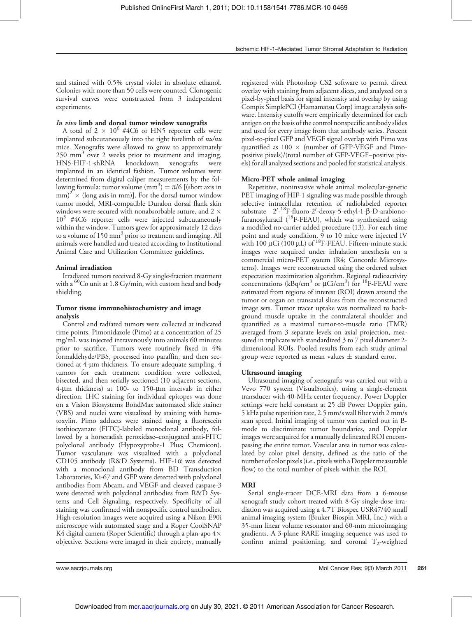and stained with 0.5% crystal violet in absolute ethanol. Colonies with more than 50 cells were counted. Clonogenic survival curves were constructed from 3 independent experiments.

## In vivo limb and dorsal tumor window xenografts

A total of  $2 \times 10^6$  #4C6 or HN5 reporter cells were implanted subcutaneously into the right forelimb of nu/nu mice. Xenografts were allowed to grow to approximately 250 mm<sup>3</sup> over 2 weeks prior to treatment and imaging. HN5-HIF-1-shRNA knockdown xenografts were implanted in an identical fashion. Tumor volumes were determined from digital caliper measurements by the following formula: tumor volume  $\text{(mm)}^3$ ) =  $\pi/6$  [(short axis in  $\text{mm})^2 \times \text{(long axis in mm)}$ . For the dorsal tumor window tumor model, MRI-compatible Duralon dorsal flank skin windows were secured with nonabsorbable suture, and 2  $\times$ 10<sup>5</sup> #4C6 reporter cells were injected subcutaneously within the window. Tumors grew for approximately 12 days to a volume of 150 mm<sup>3</sup> prior to treatment and imaging. All animals were handled and treated according to Institutional Animal Care and Utilization Committee guidelines.

## Animal irradiation

Irradiated tumors received 8-Gy single-fraction treatment with a  ${}^{60}$ Co unit at 1.8 Gy/min, with custom head and body shielding.

## Tumor tissue immunohistochemistry and image analysis

Control and radiated tumors were collected at indicated time points. Pimonidazole (Pimo) at a concentration of 25 mg/mL was injected intravenously into animals 60 minutes prior to sacrifice. Tumors were routinely fixed in 4% formaldehyde/PBS, processed into paraffin, and then sectioned at 4-um thickness. To ensure adequate sampling, 4 tumors for each treatment condition were collected, bisected, and then serially sectioned (10 adjacent sections, 4-µm thickness) at 100- to 150-µm intervals in either direction. IHC staining for individual epitopes was done on a Vision Biosystems BondMax automated slide stainer (VBS) and nuclei were visualized by staining with hematoxylin. Pimo adducts were stained using a fluorescein isothiocyanate (FITC)-labeled monoclonal antibody, followed by a horseradish peroxidase–conjugated anti-FITC polyclonal antibody (Hypoxyprobe-1 Plus; Chemicon). Tumor vasculature was visualized with a polyclonal CD105 antibody (R&D Systems). HIF-1 $\alpha$  was detected with a monoclonal antibody from BD Transduction Laboratories, Ki-67 and GFP were detected with polyclonal antibodies from Abcam, and VEGF and cleaved caspase-3 were detected with polyclonal antibodies from R&D Systems and Cell Signaling, respectively. Specificity of all staining was confirmed with nonspecific control antibodies. High-resolution images were acquired using a Nikon E90i microscope with automated stage and a Roper CoolSNAP K4 digital camera (Roper Scientific) through a plan-apo  $4\times$ objective. Sections were imaged in their entirety, manually

registered with Photoshop CS2 software to permit direct overlay with staining from adjacent slices, and analyzed on a pixel-by-pixel basis for signal intensity and overlap by using Compix SimplePCI (Hamamatsu Corp) image analysis software. Intensity cutoffs were empirically determined for each antigen on the basis of the control nonspecific antibody slides and used for every image from that antibody series. Percent pixel-to-pixel GFP and VEGF signal overlap with Pimo was quantified as  $100 \times$  (number of GFP-VEGF and Pimopositive pixels)/(total number of GFP-VEGF–positive pixels) for all analyzed sections and pooled for statistical analysis.

## Micro-PET whole animal imaging

Repetitive, noninvasive whole animal molecular-genetic PET imaging of HIF-1 signaling was made possible through selective intracellular retention of radiolabeled reporter substrate 2'-<sup>18</sup>F-fluoro-2'-deoxy-5-ethyl-1-β-D-arabionofuranosyluracil  $(^{18}$ F-FEAU), which was synthesized using a modified no-carrier added procedure (13). For each time point and study condition,  $\overline{9}$  to 10 mice were injected IV with 100  $\mu$ Ci (100  $\mu$ L) of <sup>18</sup>F-FEAU. Fifteen-minute static images were acquired under inhalation anesthesia on a commercial micro-PET system (R4; Concorde Microsystems). Images were reconstructed using the ordered subset expectation maximization algorithm. Regional radioactivity concentrations ( $kBq/cm$ <sup>3</sup> or  $µCi/cm$ <sup>3</sup>) for <sup>18</sup>F-FEAU were estimated from regions of interest (ROI) drawn around the tumor or organ on transaxial slices from the reconstructed image sets. Tumor tracer uptake was normalized to background muscle uptake in the contralateral shoulder and quantified as a maximal tumor-to-muscle ratio (TMR) averaged from 3 separate levels on axial projection, measured in triplicate with standardized 3 to 7 pixel diameter 2 dimensional ROIs. Pooled results from each study animal group were reported as mean values  $\pm$  standard error.

## Ultrasound imaging

Ultrasound imaging of xenografts was carried out with a Vevo 770 system (VisualSonics), using a single-element transducer with 40-MHz center frequency. Power Doppler settings were held constant at 25 dB Power Doppler gain, 5 kHz pulse repetition rate, 2.5 mm/s wall filter with 2 mm/s scan speed. Initial imaging of tumor was carried out in Bmode to discriminate tumor boundaries, and Doppler images were acquired for a manually delineated ROI encompassing the entire tumor. Vascular area in tumor was calculated by color pixel density, defined as the ratio of the number of color pixels (i.e., pixels with a Doppler measurable flow) to the total number of pixels within the ROI.

## MRI

Serial single-tracer DCE-MRI data from a 6-mouse xenograft study cohort treated with 8-Gy single-dose irradiation was acquired using a 4.7T Biospec USR47/40 small animal imaging system (Bruker Biospin MRI, Inc.) with a 35-mm linear volume resonator and 60-mm microimaging gradients. A 3-plane RARE imaging sequence was used to confirm animal positioning, and coronal  $T_2$ -weighted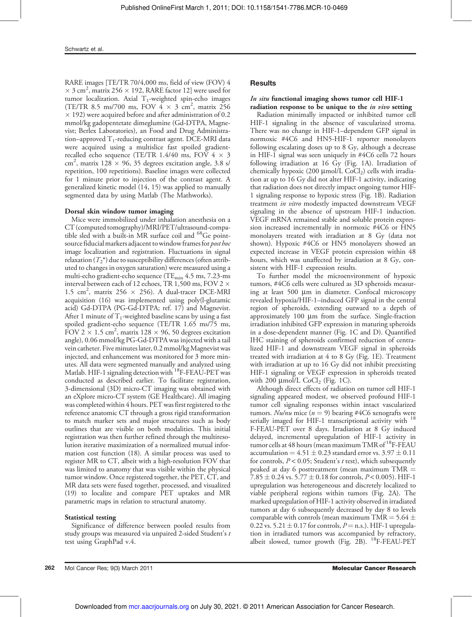RARE images [TE/TR 70/4,000 ms, field of view (FOV) 4  $\times$  3 cm<sup>2</sup>, matrix 256  $\times$  192, RARE factor 12] were used for tumor localization. Axial  $T_1$ -weighted spin-echo images (TE/TR 8.5 ms/700 ms, FOV  $4 \times 3$  cm<sup>2</sup>, matrix 256  $\times$  192) were acquired before and after administration of 0.2 mmol/kg gadopentetate dimeglumine (Gd-DTPA, Magnevist; Berlex Laboratories), an Food and Drug Administration–approved  $T_1$ -reducing contrast agent. DCE-MRI data were acquired using a multislice fast spoiled gradientrecalled echo sequence (TE/TR 1.4/40 ms, FOV  $4 \times 3$ cm<sup>2</sup>, matrix 128  $\times$  96, 35 degrees excitation angle, 3.8 s/ repetition, 100 repetitions). Baseline images were collected for 1 minute prior to injection of the contrast agent. A generalized kinetic model (14, 15) was applied to manually segmented data by using Matlab (The Mathworks).

## Dorsal skin window tumor imaging

Mice were immobilized under inhalation anesthesia on a CT (computed tomography)/MRI/PET/ultrasound-compatible sled with a built-in MR surface coil and <sup>68</sup>Ge pointsource fiducial markers adjacent to window frames for *post hoc* image localization and registration. Fluctuations in signal relaxation  $(T_2^*)$  due to susceptibility differences (often attributed to changes in oxygen saturation) were measured using a multi-echo gradient-echo sequence (TE<sub>min</sub> 4.5 ms, 7.23-ms interval between each of 12 echoes, TR 1,500 ms, FOV 2 1.5 cm<sup>2</sup>, matrix 256  $\times$  256). A dual-tracer DCE-MRI acquisition (16) was implemented using poly(l-glutamic acid) Gd-DTPA (PG-Gd-DTPA; ref. 17) and Magnevist. After 1 minute of  $T_1$ -weighted baseline scans by using a fast spoiled gradient-echo sequence (TE/TR 1.65 ms/75 ms, FOV 2  $\times$  1.5 cm<sup>2</sup>, matrix 128  $\times$  96, 50 degrees excitation angle), 0.06 mmol/kg PG-Gd-DTPA was injected with a tail vein catheter. Five minutes later, 0.2 mmol/kgMagnevist was injected, and enhancement was monitored for 3 more minutes. All data were segmented manually and analyzed using Matlab. HIF-1 signaling detection with <sup>18</sup>F-FEAU-PET was conducted as described earlier. To facilitate registration, 3-dimensional (3D) micro-CT imaging was obtained with an eXplore micro-CT system (GE Healthcare). All imaging was completed within 4 hours. PET was first registered to the reference anatomic CT through a gross rigid transformation to match marker sets and major structures such as body outlines that are visible on both modalities. This initial registration was then further refined through the multiresolution iterative maximization of a normalized mutual information cost function (18). A similar process was used to register MR to CT, albeit with a high-resolution FOV that was limited to anatomy that was visible within the physical tumor window. Once registered together, the PET, CT, and MR data sets were fused together, processed, and visualized (19) to localize and compare PET uptakes and MR parametric maps in relation to structural anatomy.

## Statistical testing

Significance of difference between pooled results from study groups was measured via unpaired 2-sided Student's t test using GraphPad v.4.

## **Results**

## In situ functional imaging shows tumor cell HIF-1

radiation response to be unique to the *in vivo* setting Radiation minimally impacted or inhibited tumor cell HIF-1 signaling in the absence of vascularized stroma. There was no change in HIF-1–dependent GFP signal in normoxic #4C6 and HN5-HIF-1 reporter monolayers following escalating doses up to 8 Gy, although a decrease in HIF-1 signal was seen uniquely in #4C6 cells 72 hours following irradiation at 16 Gy (Fig. 1A). Irradiation of chemically hypoxic (200  $\mu$ mol/L CoCl<sub>2</sub>) cells with irradiation at up to 16 Gy did not alter HIF-1 activity, indicating that radiation does not directly impact ongoing tumor HIF-1 signaling response to hypoxic stress (Fig. 1B). Radiation treatment in vitro modestly impacted downstream VEGF signaling in the absence of upstream HIF-1 induction. VEGF mRNA remained stable and soluble protein expression increased incrementally in normoxic #4C6 or HN5 monolayers treated with irradiation at 8 Gy (data not shown). Hypoxic #4C6 or HN5 monolayers showed an expected increase in VEGF protein expression within 48 hours, which was unaffected by irradiation at 8 Gy, consistent with HIF-1 expression results.

To further model the microenvironment of hypoxic tumors, #4C6 cells were cultured as 3D spheroids measuring at least  $500 \mu m$  in diameter. Confocal microscopy revealed hypoxia/HIF-1–induced GFP signal in the central region of spheroids, extending outward to a depth of approximately  $100 \mu m$  from the surface. Single-fraction irradiation inhibited GFP expression in maturing spheroids in a dose-dependent manner (Fig. 1C and D). Quantified IHC staining of spheroids confirmed reduction of centralized HIF-1 and downstream VEGF signal in spheroids treated with irradiation at 4 to 8 Gy (Fig. 1E). Treatment with irradiation at up to 16 Gy did not inhibit preexisting HIF-1 signaling or VEGF expression in spheroids treated with 200  $\mu$ mol/L CoCl<sub>2</sub> (Fig. 1C).

Although direct effects of radiation on tumor cell HIF-1 signaling appeared modest, we observed profound HIF-1 tumor cell signaling responses within intact vascularized tumors. Nu/nu mice ( $n = 9$ ) bearing #4C6 xenografts were serially imaged for HIF-1 transcriptional activity with <sup>18</sup> F-FEAU-PET over 8 days. Irradiation at 8 Gy induced delayed, incremental upregulation of HIF-1 activity in tumor cells at 48 hours (mean maximum TMR of  $^{18}$ F-FEAU accumulation =  $4.51 \pm 0.23$  standard error vs.  $3.97 \pm 0.11$ for controls,  $P < 0.05$ ; Student's t test), which subsequently peaked at day 6 posttreatment (mean maximum  $\overline{TMR} =$ 7.85  $\pm$  0.24 vs. 5.77  $\pm$  0.18 for controls, P < 0.005). HIF-1 upregulation was heterogeneous and discretely localized to viable peripheral regions within tumors (Fig. 2A). The marked upregulation of HIF-1 activity observed in irradiated tumors at day 6 subsequently decreased by day 8 to levels comparable with controls (mean maximum TMR  $=$  5.64  $\pm$ 0.22 vs. 5.21  $\pm$  0.17 for controls, P = n.s.). HIF-1 upregulation in irradiated tumors was accompanied by refractory, albeit slowed, tumor growth (Fig.  $2B$ ). <sup>18</sup>F-FEAU-PET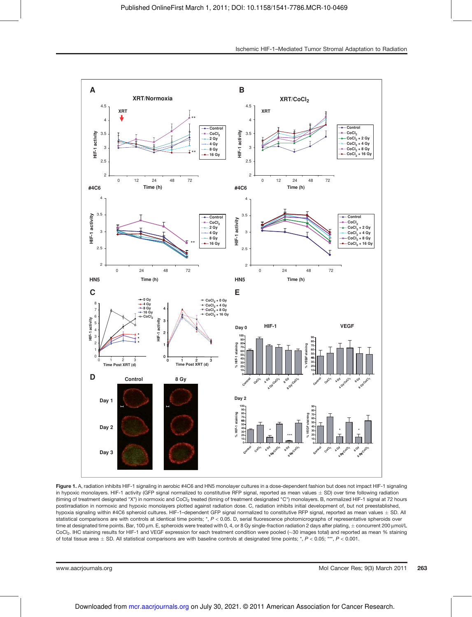

Ischemic HIF-1–Mediated Tumor Stromal Adaptation to Radiation

in hypoxic monolayers. HIF-1 activity (GFP signal normalized to constitutive RFP signal, reported as mean values  $\pm$  SD) over time following radiation (timing of treatment designated "X") in normoxic and CoCl<sub>2</sub> treated (timing of treatment designated "C") monolayers. B, normalized HIF-1 signal at 72 hours postirradiation in normoxic and hypoxic monolayers plotted against radiation dose. C, radiation inhibits initial development of, but not preestablished, hypoxia signaling within #4C6 spheroid cultures. HIF-1-dependent GFP signal normalized to constitutive RFP signal, reported as mean values  $\pm$  SD. All statistical comparisons are with controls at identical time points; \*, P < 0.05. D, serial fluorescence photomicrographs of representative spheroids over time at designated time points. Bar, 100 µm. E, spheroids were treated with 0, 4, or 8 Gy single-fraction radiation 2 days after plating, ± concurrent 200 µmol/L CoCl<sub>2</sub>. IHC staining results for HIF-1 and VEGF expression for each treatment condition were pooled (~30 images total) and reported as mean % staining of total tissue area  $\pm$  SD. All statistical comparisons are with baseline controls at designated time points; \*, P < 0.05; \*\*\*, P < 0.001.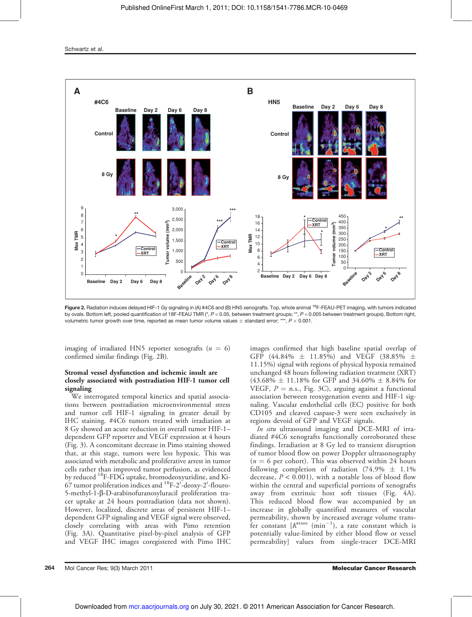Schwartz et al.



Figure 2. Radiation induces delayed HIF-1 Gy signaling in (A) #4C6 and (B) HN5 xenografts. Top, whole animal <sup>18</sup>F-FEAU-PET imaging, with tumors indicated by ovals. Bottom left, pooled quantification of 18F-FEAU TMR (\*, P < 0.05, between treatment groups; \*\*, P < 0.005 between treatment groups). Bottom right, volumetric tumor growth over time, reported as mean tumor volume values  $\pm$  standard error; \*\*\*,  $P < 0.001$ .

imaging of irradiated HN5 reporter xenografts ( $n = 6$ ) confirmed similar findings (Fig. 2B).

## Stromal vessel dysfunction and ischemic insult are closely associated with postradiation HIF-1 tumor cell signaling

We interrogated temporal kinetics and spatial associations between postradiation microenvironmental stress and tumor cell HIF-1 signaling in greater detail by IHC staining. #4C6 tumors treated with irradiation at 8 Gy showed an acute reduction in overall tumor HIF-1– dependent GFP reporter and VEGF expression at 4 hours (Fig. 3). A concomitant decrease in Pimo staining showed that, at this stage, tumors were less hypoxic. This was associated with metabolic and proliferative arrest in tumor cells rather than improved tumor perfusion, as evidenced by reduced <sup>18</sup>F-FDG uptake, bromodeoxyuridine, and Ki- $67$  tumor proliferation indices and  $^{18}$ F-2'-deoxy-2'-flouro-5-methyl-1-b-D-arabinofuranosyluracil proliferation tracer uptake at 24 hours postradiation (data not shown). However, localized, discrete areas of persistent HIF-1– dependent GFP signaling and VEGF signal were observed, closely correlating with areas with Pimo retention (Fig. 3A). Quantitative pixel-by-pixel analysis of GFP and VEGF IHC images coregistered with Pimo IHC images confirmed that high baseline spatial overlap of GFP (44.84%  $\pm$  11.85%) and VEGF (38.85%  $\pm$ 11.15%) signal with regions of physical hypoxia remained unchanged 48 hours following radiation treatment (XRT)  $(43.68\% \pm 11.18\%$  for GFP and 34.60%  $\pm$  8.84% for VEGF,  $P =$  n.s., Fig. 3C), arguing against a functional association between reoxygenation events and HIF-1 signaling. Vascular endothelial cells (EC) positive for both CD105 and cleaved caspase-3 were seen exclusively in regions devoid of GFP and VEGF signals.

In situ ultrasound imaging and DCE-MRI of irradiated #4C6 xenografts functionally corroborated these findings. Irradiation at 8 Gy led to transient disruption of tumor blood flow on power Doppler ultrasonography  $(n = 6$  per cohort). This was observed within 24 hours following completion of radiation (74.9%  $\pm$  1.1% decrease,  $P < 0.001$ ), with a notable loss of blood flow within the central and superficial portions of xenografts away from extrinsic host soft tissues (Fig. 4A). This reduced blood flow was accompanied by an increase in globally quantified measures of vascular permeability, shown by increased average volume transfer constant  $[K<sup>trans</sup> (min<sup>-1</sup>)$ , a rate constant which is potentially value-limited by either blood flow or vessel permeability] values from single-tracer DCE-MRI

264 Mol Cancer Res; 9(3) March 2011 Molecular Cancer Research and Cancer Research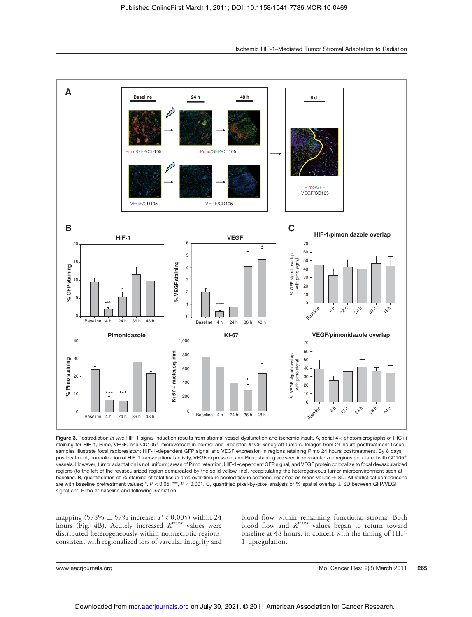

Figure 3. Postradiation in vivo HIF-1 signal induction results from stromal vessel dysfunction and ischemic insult. A, serial 4x photomicrographs of IHC i i staining for HIF-1, Pimo, VEGF, and CD105<sup>+</sup> microvessels in control and irradiated #4C6 xenograft tumors. Images from 24 hours posttreatment tissue samples illustrate focal radioresistant HIF-1–dependent GFP signal and VEGF expression in regions retaining Pimo 24 hours posttreatment. By 8 days posttreatment, normalization of HIF-1 transcriptional activity, VEGF expression, and Pimo staining are seen in revascularized regions populated with CD105<sup>+</sup> vessels. However, tumor adaptation is not uniform; areas of Pimo retention, HIF-1–dependent GFP signal, and VEGF protein colocalize to focal devascularized regions (to the left of the revascularized region demarcated by the solid yellow line), recapitulating the heterogeneous tumor microenvironment seen at baseline. B, quantification of % staining of total tissue area over time in pooled tissue sections, reported as mean values  $\pm$  SD. All statistical comparisons are with baseline pretreatment values; \*,  $P < 0.05$ ; \*\*\*,  $P < 0.001$ . C, quantified pixel-by-pixel analysis of % spatial overlap  $\pm$  SD between GFP/VEGF signal and Pimo at baseline and following irradiation.

mapping (578%  $\pm$  57% increase,  $P < 0.005$ ) within 24 hours (Fig. 4B). Acutely increased  $K<sup>trans</sup>$  values were distributed heterogeneously within nonnecrotic regions, consistent with regionalized loss of vascular integrity and

blood flow within remaining functional stroma. Both blood flow and  $K<sup>trans</sup>$  values began to return toward baseline at 48 hours, in concert with the timing of HIF-1 upregulation.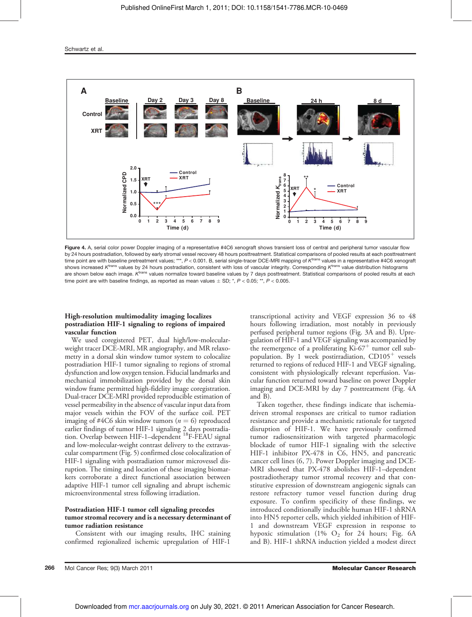

Figure 4. A, serial color power Doppler imaging of a representative #4C6 xenograft shows transient loss of central and peripheral tumor vascular flow by 24 hours postradiation, followed by early stromal vessel recovery 48 hours posttreatment. Statistical comparisons of pooled results at each posttreatment time point are with baseline pretreatment values; \*\*\*, P < 0.001. B, serial single-tracer DCE-MRI mapping of K<sup>trans</sup> values in a representative #4C6 xenograft shows increased  $K^{\text{trans}}$  values by 24 hours postradiation, consistent with loss of vascular integrity. Corresponding  $K^{\text{trans}}$  value distribution histograms are shown below each image. K<sup>trans</sup> values normalize toward baseline values by 7 days posttreatment. Statistical comparisons of pooled results at each time point are with baseline findings, as reported as mean values  $\pm$  SD;  $^{*}$ ,  $P$  < 0.05;  $^{**}$ ,  $P$  < 0.005.

## High-resolution multimodality imaging localizes postradiation HIF-1 signaling to regions of impaired vascular function

We used coregistered PET, dual high/low-molecularweight tracer DCE-MRI, MR angiography, and MR relaxometry in a dorsal skin window tumor system to colocalize postradiation HIF-1 tumor signaling to regions of stromal dysfunction and low oxygen tension. Fiducial landmarks and mechanical immobilization provided by the dorsal skin window frame permitted high-fidelity image coregistration. Dual-tracer DCE-MRI provided reproducible estimation of vessel permeability in the absence of vascular input data from major vessels within the FOV of the surface coil. PET imaging of #4C6 skin window tumors ( $n = 6$ ) reproduced earlier findings of tumor HIF-1 signaling 2 days postradiation. Overlap between HIF-1–dependent <sup>18</sup>F-FEAU signal and low-molecular-weight contrast delivery to the extravascular compartment (Fig. 5) confirmed close colocalization of HIF-1 signaling with postradiation tumor microvessel disruption. The timing and location of these imaging biomarkers corroborate a direct functional association between adaptive HIF-1 tumor cell signaling and abrupt ischemic microenvironmental stress following irradiation.

## Postradiation HIF-1 tumor cell signaling precedes tumor stromal recovery and is a necessary determinant of tumor radiation resistance

Consistent with our imaging results, IHC staining confirmed regionalized ischemic upregulation of HIF-1

transcriptional activity and VEGF expression 36 to 48 hours following irradiation, most notably in previously perfused peripheral tumor regions (Fig. 3A and B). Upregulation of HIF-1 and VEGF signaling was accompanied by the reemergence of a proliferating  $Ki-67<sup>+</sup>$  tumor cell subpopulation. By 1 week postirradiation,  $CD105<sup>+</sup>$  vessels returned to regions of reduced HIF-1 and VEGF signaling, consistent with physiologically relevant reperfusion. Vascular function returned toward baseline on power Doppler imaging and DCE-MRI by day 7 posttreatment (Fig. 4A and B).

Taken together, these findings indicate that ischemiadriven stromal responses are critical to tumor radiation resistance and provide a mechanistic rationale for targeted disruption of HIF-1. We have previously confirmed tumor radiosensitization with targeted pharmacologic blockade of tumor HIF-1 signaling with the selective HIF-1 inhibitor PX-478 in C6, HN5, and pancreatic cancer cell lines (6, 7). Power Doppler imaging and DCE-MRI showed that PX-478 abolishes HIF-1–dependent postradiotherapy tumor stromal recovery and that constitutive expression of downstream angiogenic signals can restore refractory tumor vessel function during drug exposure. To confirm specificity of these findings, we introduced conditionally inducible human HIF-1 shRNA into HN5 reporter cells, which yielded inhibition of HIF-1 and downstream VEGF expression in response to hypoxic stimulation (1%  $O_2$  for 24 hours; Fig. 6A and B). HIF-1 shRNA induction yielded a modest direct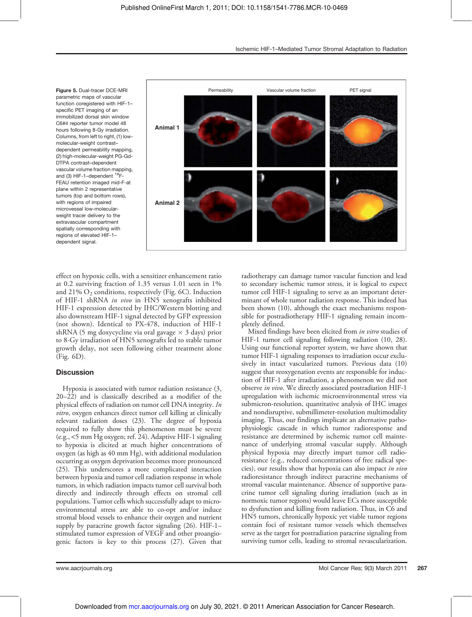Figure 5. Dual-tracer DCE-MRI parametric maps of vascular function coregistered with HIF-1– specific PET imaging of an immobilized dorsal skin window C6#4 reporter tumor model 48 hours following 8-Gy irradiation. Columns, from left to right, (1) lowmolecular-weight contrast– dependent permeability mapping, (2) high-molecular-weight PG-Gd-DTPA contrast–dependent vascular volume fraction mapping, and (3) HIF-1-dependent <sup>18</sup>F-FEAU retention imaged mid-F-at plane within 2 representative tumors (top and bottom rows), with regions of impaired microvessel low-molecularweight tracer delivery to the extravascular compartment spatially corresponding with regions of elevated HIF-1– dependent signal.



effect on hypoxic cells, with a sensitizer enhancement ratio at 0.2 surviving fraction of 1.35 versus 1.01 seen in 1% and 21%  $O_2$  conditions, respectively (Fig. 6C). Induction of HIF-1 shRNA in vivo in HN5 xenografts inhibited HIF-1 expression detected by IHC/Western blotting and also downstream HIF-1 signal detected by GFP expression (not shown). Identical to PX-478, induction of HIF-1 shRNA (5 mg doxycycline via oral gavage  $\times$  3 days) prior to 8-Gy irradiation of HN5 xenografts led to stable tumor growth delay, not seen following either treatment alone (Fig. 6D).

## **Discussion**

Hypoxia is associated with tumor radiation resistance (3, 20–22) and is classically described as a modifier of the physical effects of radiation on tumor cell DNA integrity. In vitro, oxygen enhances direct tumor cell killing at clinically relevant radiation doses (23). The degree of hypoxia required to fully show this phenomenon must be severe (e.g., <5 mm Hg oxygen; ref. 24). Adaptive HIF-1 signaling to hypoxia is elicited at much higher concentrations of oxygen (as high as 40 mm Hg), with additional modulation occurring as oxygen deprivation becomes more pronounced (25). This underscores a more complicated interaction between hypoxia and tumor cell radiation response in whole tumors, in which radiation impacts tumor cell survival both directly and indirectly through effects on stromal cell populations. Tumor cells which successfully adapt to microenvironmental stress are able to co-opt and/or induce stromal blood vessels to enhance their oxygen and nutrient supply by paracrine growth factor signaling (26). HIF-1– stimulated tumor expression of VEGF and other proangiogenic factors is key to this process (27). Given that

radiotherapy can damage tumor vascular function and lead to secondary ischemic tumor stress, it is logical to expect tumor cell HIF-1 signaling to serve as an important determinant of whole tumor radiation response. This indeed has been shown (10), although the exact mechanisms responsible for postradiotherapy HIF-1 signaling remain incompletely defined.

Mixed findings have been elicited from in vitro studies of HIF-1 tumor cell signaling following radiation (10, 28). Using our functional reporter system, we have shown that tumor HIF-1 signaling responses to irradiation occur exclusively in intact vascularized tumors. Previous data (10) suggest that reoxygenation events are responsible for induction of HIF-1 after irradiation, a phenomenon we did not observe in vivo. We directly associated postradiation HIF-1 upregulation with ischemic microenvironmental stress via submicron-resolution, quantitative analysis of IHC images and nondisruptive, submillimeter-resolution multimodality imaging. Thus, our findings implicate an alternative pathophysiologic cascade in which tumor radioresponse and resistance are determined by ischemic tumor cell maintenance of underlying stromal vascular supply. Although physical hypoxia may directly impart tumor cell radioresistance (e.g., reduced concentrations of free radical species), our results show that hypoxia can also impact in vivo radioresistance through indirect paracrine mechanisms of stromal vascular maintenance. Absence of supportive paracrine tumor cell signaling during irradiation (such as in normoxic tumor regions) would leave ECs more susceptible to dysfunction and killing from radiation. Thus, in C6 and HN5 tumors, chronically hypoxic yet viable tumor regions contain foci of resistant tumor vessels which themselves serve as the target for postradiation paracrine signaling from surviving tumor cells, leading to stromal revascularization.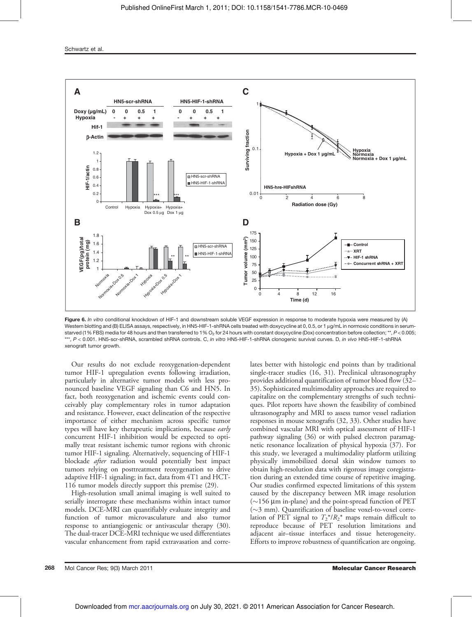Schwartz et al.



Figure 6. In vitro conditional knockdown of HIF-1 and downstream soluble VEGF expression in response to moderate hypoxia were measured by (A) Western blotting and (B) ELISA assays, respectively, in HN5-HIF-1-shRNA cells treated with doxycycline at 0, 0.5, or 1 µg/mL in normoxic conditions in serumstarved (1% FBS) media for 48 hours and then transferred to 1% O<sub>2</sub> for 24 hours with constant doxycycline (Dox) concentration before collection; \*\*, P < 0.005; \*\*\*, P < 0.001. HN5-scr-shRNA, scrambled shRNA controls. C, in vitro HN5-HIF-1-shRNA clonogenic survival curves. D, in vivo HN5-HIF-1-shRNA xenograft tumor growth.

Our results do not exclude reoxygenation-dependent tumor HIF-1 upregulation events following irradiation, particularly in alternative tumor models with less pronounced baseline VEGF signaling than C6 and HN5. In fact, both reoxygenation and ischemic events could conceivably play complementary roles in tumor adaptation and resistance. However, exact delineation of the respective importance of either mechanism across specific tumor types will have key therapeutic implications, because early concurrent HIF-1 inhibition would be expected to optimally treat resistant ischemic tumor regions with chronic tumor HIF-1 signaling. Alternatively, sequencing of HIF-1 blockade after radiation would potentially best impact tumors relying on posttreatment reoxygenation to drive adaptive HIF-1 signaling; in fact, data from 4T1 and HCT-116 tumor models directly support this premise (29).

High-resolution small animal imaging is well suited to serially interrogate these mechanisms within intact tumor models. DCE-MRI can quantifiably evaluate integrity and function of tumor microvasculature and also tumor response to antiangiogenic or antivascular therapy (30). The dual-tracer DCE-MRI technique we used differentiates vascular enhancement from rapid extravasation and correlates better with histologic end points than by traditional single-tracer studies (16, 31). Preclinical ultrasonography provides additional quantification of tumor blood flow (32– 35). Sophisticated multimodality approaches are required to capitalize on the complementary strengths of such techniques. Pilot reports have shown the feasibility of combined ultrasonography and MRI to assess tumor vessel radiation responses in mouse xenografts (32, 33). Other studies have combined vascular MRI with optical assessment of HIF-1 pathway signaling (36) or with pulsed electron paramagnetic resonance localization of physical hypoxia (37). For this study, we leveraged a multimodality platform utilizing physically immobilized dorsal skin window tumors to obtain high-resolution data with rigorous image coregistration during an extended time course of repetitive imaging. Our studies confirmed expected limitations of this system caused by the discrepancy between MR image resolution  $(\sim156 \mu m)$  in-plane) and the point-spread function of PET  $(\sim$ 3 mm). Quantification of baseline voxel-to-voxel correlation of PET signal to  $T_2^* / R_2^*$  maps remain difficult to reproduce because of PET resolution limitations and adjacent air–tissue interfaces and tissue heterogeneity. Efforts to improve robustness of quantification are ongoing.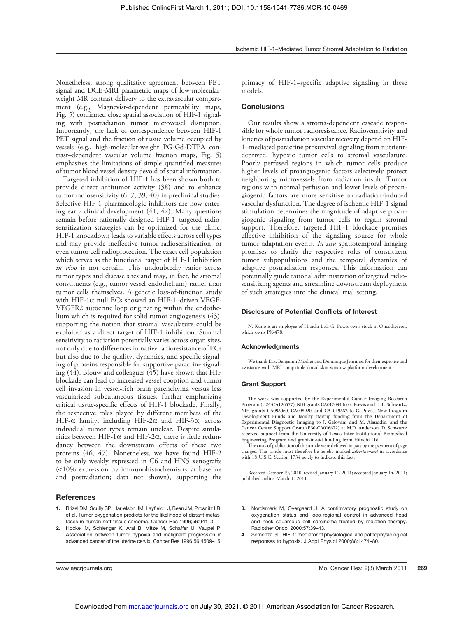Nonetheless, strong qualitative agreement between PET signal and DCE-MRI parametric maps of low-molecularweight MR contrast delivery to the extravascular compartment (e.g., Magnevist-dependent permeability maps, Fig. 5) confirmed close spatial association of HIF-1 signaling with postradiation tumor microvessel disruption. Importantly, the lack of correspondence between HIF-1 PET signal and the fraction of tissue volume occupied by vessels (e.g., high-molecular-weight PG-Gd-DTPA contrast–dependent vascular volume fraction maps, Fig. 5) emphasizes the limitations of simple quantified measures of tumor blood vessel density devoid of spatial information.

Targeted inhibition of HIF-1 has been shown both to provide direct antitumor activity (38) and to enhance tumor radiosensitivity (6, 7, 39, 40) in preclinical studies. Selective HIF-1 pharmacologic inhibitors are now entering early clinical development (41, 42). Many questions remain before rationally designed HIF-1–targeted radiosensitization strategies can be optimized for the clinic. HIF-1 knockdown leads to variable effects across cell types and may provide ineffective tumor radiosensitization, or even tumor cell radioprotection. The exact cell population which serves as the functional target of HIF-1 inhibition in vivo is not certain. This undoubtedly varies across tumor types and disease sites and may, in fact, be stromal constituents (e.g., tumor vessel endothelium) rather than tumor cells themselves. A genetic loss-of-function study with HIF-1 $\alpha$  null ECs showed an HIF-1-driven VEGF-VEGFR2 autocrine loop originating within the endothelium which is required for solid tumor angiogenesis (43), supporting the notion that stromal vasculature could be exploited as a direct target of HIF-1 inhibition. Stromal sensitivity to radiation potentially varies across organ sites, not only due to differences in native radioresistance of ECs but also due to the quality, dynamics, and specific signaling of proteins responsible for supportive paracrine signaling (44). Blouw and colleagues (45) have shown that HIF blockade can lead to increased vessel cooption and tumor cell invasion in vessel-rich brain parenchyma versus less vascularized subcutaneous tissues, further emphasizing critical tissue-specific effects of HIF-1 blockade. Finally, the respective roles played by different members of the HIF- $\alpha$  family, including HIF-2 $\alpha$  and HIF-3 $\alpha$ , across individual tumor types remain unclear. Despite similarities between HIF-1 $\alpha$  and HIF-2 $\alpha$ , there is little redundancy between the downstream effects of these two proteins (46, 47). Nonetheless, we have found HIF-2 to be only weakly expressed in C6 and HN5 xenografts (<10% expression by immunohistochemistry at baseline and postradiation; data not shown), supporting the

## **References**

- 1. Brizel DM, Scully SP, Harrelson JM, Layfield LJ, Bean JM, Prosnitz LR, et al. Tumor oxygenation predicts for the likelihood of distant metastases in human soft tissue sarcoma. Cancer Res 1996;56:941–3.
- 2. Hockel M, Schlenger K, Aral B, Mitze M, Schaffer U, Vaupel P. Association between tumor hypoxia and malignant progression in advanced cancer of the uterine cervix. Cancer Res 1996;56:4509–15.

primacy of HIF-1–specific adaptive signaling in these models.

## **Conclusions**

Our results show a stroma-dependent cascade responsible for whole tumor radioresistance. Radiosensitivity and kinetics of postradiation vascular recovery depend on HIF-1–mediated paracrine prosurvival signaling from nutrientdeprived, hypoxic tumor cells to stromal vasculature. Poorly perfused regions in which tumor cells produce higher levels of proangiogenic factors selectively protect neighboring microvessels from radiation insult. Tumor regions with normal perfusion and lower levels of proangiogenic factors are more sensitive to radiation-induced vascular dysfunction. The degree of ischemic HIF-1 signal stimulation determines the magnitude of adaptive proangiogenic signaling from tumor cells to regain stromal support. Therefore, targeted HIF-1 blockade promises effective inhibition of the signaling source for whole tumor adaptation events. *In situ* spatiotemporal imaging promises to clarify the respective roles of constituent tumor subpopulations and the temporal dynamics of adaptive postradiation responses. This information can potentially guide rational administration of targeted radiosensitizing agents and streamline downstream deployment of such strategies into the clinical trial setting.

## Disclosure of Potential Conflicts of Interest

N. Kuno is an employee of Hitachi Ltd. G. Powis owns stock in Oncothyreon, which owns PX-478.

### Acknowledgments

We thank Drs. Benjamin Moeller and Dominique Jennings for their expertise and assistance with MRI-compatible dorsal skin window platform development.

#### Grant Support

The work was supported by the Experimental Cancer Imaging Research Program (U24-CA126577), NIH grants CA017094 to G. Powis and D. L. Schwartz, NIH grants CA095060, CA098920, and CA1019552 to G. Powis, New Program Development Funds and faculty startup funding from the Department of Experimental Diagnostic Imaging to J. Gelovani and M. Alauddin, and the Cancer Center Support Grant (P30-CA016672) at M.D. Anderson. D. Schwartz received support from the University of Texas Inter-Institutional Biomedical Engineering Program and grant-in-aid funding from Hitachi Ltd.

The costs of publication of this article were defrayed in part by the payment of page charges. This article must therefore be hereby marked *advertisement* in accordance with 18 U.S.C. Section 1734 solely to indicate this fact.

Received October 19, 2010; revised January 11, 2011; accepted January 14, 2011; published online March 1, 2011.

- 3. Nordsmark M, Overgaard J. A confirmatory prognostic study on oxygenation status and loco-regional control in advanced head and neck squamous cell carcinoma treated by radiation therapy. Radiother Oncol 2000;57:39–43.
- 4. Semenza GL. HIF-1: mediator of physiological and pathophysiological responses to hypoxia. J Appl Physiol 2000;88:1474–80.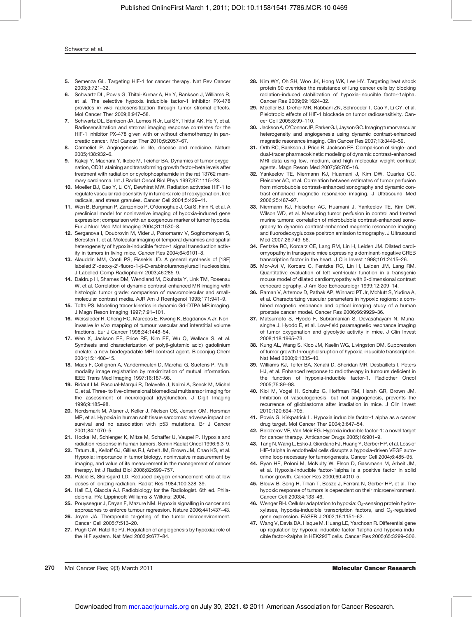### Schwartz et al.

- 5. Semenza GL. Targeting HIF-1 for cancer therapy. Nat Rev Cancer 2003;3:721–32.
- 6. Schwartz DL, Powis G, Thitai-Kumar A, He Y, Bankson J, Williams R, et al. The selective hypoxia inducible factor-1 inhibitor PX-478 provides in vivo radiosensitization through tumor stromal effects. Mol Cancer Ther 2009;8:947–58.
- 7. Schwartz DL, Bankson JA, Lemos R Jr, Lai SY, Thittai AK, He Y, et al. Radiosensitization and stromal imaging response correlates for the HIF-1 inhibitor PX-478 given with or without chemotherapy in pancreatic cancer. Mol Cancer Ther 2010;9:2057–67.
- 8. Carmeliet P. Angiogenesis in life, disease and medicine. Nature 2005;438:932–6.
- 9. Kakeji Y, Maehara Y, Ikebe M, Teicher BA. Dynamics of tumor oxygenation, CD31 staining and transforming growth factor-beta levels after treatment with radiation or cyclophosphamide in the rat 13762 mammary carcinoma. Int J Radiat Oncol Biol Phys 1997;37:1115–23.
- 10. Moeller BJ, Cao Y, Li CY, Dewhirst MW. Radiation activates HIF-1 to regulate vascular radiosensitivity in tumors: role of reoxygenation, free radicals, and stress granules. Cancer Cell 2004;5:429–41.
- 11. Wen B, Burgman P, Zanzonico P, O'donoghue J, Cai S, Finn R, et al. A preclinical model for noninvasive imaging of hypoxia-induced gene expression; comparison with an exogenous marker of tumor hypoxia. Eur J Nucl Med Mol Imaging 2004;31:1530–8.
- 12. Serganova I, Doubrovin M, Vider J, Ponomarev V, Soghomonyan S, Beresten T, et al. Molecular imaging of temporal dynamics and spatial heterogeneity of hypoxia-inducible factor-1 signal transduction activity in tumors in living mice. Cancer Res 2004;64:6101–8.
- 13. Alauddin MM, Conti PS, Fissekis JD. A general synthesis of [18F] labeled 2'-deoxy-2'-fluoro-1-β-D-arabinofuranosyluracil nucleosides. J Labelled Comp Radiopharm 2003;46:285–9.
- 14. Daldrup H, Shames DM, Wendland M, Okuhata Y, Link TM, Rosenau W, et al. Correlation of dynamic contrast-enhanced MR imaging with histologic tumor grade: comparison of macromolecular and smallmolecular contrast media. AJR Am J Roentgenol 1998;171:941–9.
- 15. Tofts PS. Modeling tracer kinetics in dynamic Gd-DTPA MR imaging. J Magn Reson Imaging 1997;7:91–101.
- 16. Weissleder R, Cheng HC, Marecos E, Kwong K, Bogdanov A Jr. Noninvasive in vivo mapping of tumour vascular and interstitial volume fractions. Eur J Cancer 1998;34:1448–54.
- 17. Wen X, Jackson EF, Price RE, Kim EE, Wu Q, Wallace S, et al. Synthesis and characterization of poly(l-glutamic acid) gadolinium chelate: a new biodegradable MRI contrast agent. Bioconjug Chem 2004;15:1408–15.
- 18. Maes F, Collignon A, Vandermeulen D, Marchal G, Suetens P. Multimodality image registration by maximization of mutual information. IEEE Trans Med Imaging 1997;16:187–98.
- 19. Bidaut LM, Pascual-Marqui R, Delavelle J, Naimi A, Seeck M, Michel C, et al. Three- to five-dimensional biomedical multisensor imaging for the assessment of neurological (dys)function. J Digit Imaging 1996;9:185–98.
- 20. Nordsmark M, Alsner J, Keller J, Nielsen OS, Jensen OM, Horsman MR, et al. Hypoxia in human soft tissue sarcomas: adverse impact on survival and no association with p53 mutations. Br J Cancer 2001;84:1070–5.
- 21. Hockel M, Schlenger K, Mitze M, Schaffer U, Vaupel P. Hypoxia and radiation response in human tumors. Semin Radiat Oncol 1996;6:3–9.
- 22. Tatum JL, Kelloff GJ, Gillies RJ, Arbeit JM, Brown JM, Chao KS, et al. Hypoxia: importance in tumor biology, noninvasive measurement by imaging, and value of its measurement in the management of cancer therapy. Int J Radiat Biol 2006;82:699–757.
- 23. Palcic B, Skarsgard LD. Reduced oxygen enhancement ratio at low doses of ionizing radiation. Radiat Res 1984;100:328–39.
- 24. Hall EJ, Giaccia AJ. Radiobiology for the Radiologist. 6th ed. Philadelphia, PA: Lippincott Williams & Wilkins; 2004.
- 25. Pouyssegur J, Dayan F, Mazure NM. Hypoxia signalling in cancer and approaches to enforce tumour regression. Nature 2006;441:437–43.
- 26. Joyce JA. Therapeutic targeting of the tumor microenvironment. Cancer Cell 2005;7:513–20.
- 27. Pugh CW, Ratcliffe PJ. Regulation of angiogenesis by hypoxia: role of the HIF system. Nat Med 2003;9:677–84.
- 28. Kim WY, Oh SH, Woo JK, Hong WK, Lee HY. Targeting heat shock protein 90 overrides the resistance of lung cancer cells by blocking radiation-induced stabilization of hypoxia-inducible factor-1alpha. Cancer Res 2009;69:1624–32.
- 29. Moeller BJ, Dreher MR, Rabbani ZN, Schroeder T, Cao Y, Li CY, et al. Pleiotropic effects of HIF-1 blockade on tumor radiosensitivity. Cancer Cell 2005;8:99–110.
- 30. JacksonA, O'Connor JP,Parker GJ, JaysonGC.Imaging tumor vascular heterogeneity and angiogenesis using dynamic contrast-enhanced magnetic resonance imaging. Clin Cancer Res 2007;13:3449–59.
- 31. Orth RC, Bankson J, Price R, Jackson EF. Comparison of single- and dual-tracer pharmacokinetic modeling of dynamic contrast-enhanced MRI data using low, medium, and high molecular weight contrast agents. Magn Reson Med 2007;58:705–16.
- 32. Yankeelov TE, Niermann KJ, Huamani J, Kim DW, Quarles CC, Fleischer AC, et al. Correlation between estimates of tumor perfusion from microbubble contrast-enhanced sonography and dynamic contrast-enhanced magnetic resonance imaging. J Ultrasound Med 2006;25:487–97.
- 33. Niermann KJ, Fleischer AC, Huamani J, Yankeelov TE, Kim DW, Wilson WD, et al. Measuring tumor perfusion in control and treated murine tumors: correlation of microbubble contrast-enhanced sonography to dynamic contrast-enhanced magnetic resonance imaging and fluorodeoxyglucose positron emission tomography. J Ultrasound Med 2007;26:749–56.
- 34. Fentzke RC, Korcarz CE, Lang RM, Lin H, Leiden JM. Dilated cardiomyopathy in transgenic mice expressing a dominant-negative CREB transcription factor in the heart. J Clin Invest 1998;101:2415–26.
- 35. Mor-Avi V, Korcarz C, Fentzke RC, Lin H, Leiden JM, Lang RM. Quantitative evaluation of left ventricular function in a transgenic mouse model of dilated cardiomyopathy with 2-dimensional contrast echocardiography. J Am Soc Echocardiogr 1999;12:209–14.
- 36. Raman V, Artemov D, Pathak AP, Winnard PT Jr, McNutt S, Yudina A, et al. Characterizing vascular parameters in hypoxic regions: a combined magnetic resonance and optical imaging study of a human prostate cancer model. Cancer Res 2006;66:9929–36.
- 37. Matsumoto S, Hyodo F, Subramanian S, Devasahayam N, Munasinghe J, Hyodo E, et al. Low-field paramagnetic resonance imaging of tumor oxygenation and glycolytic activity in mice. J Clin Invest 2008;118:1965–73.
- 38. Kung AL, Wang S, Klco JM, Kaelin WG, Livingston DM. Suppression of tumor growth through disruption of hypoxia-inducible transcription. Nat Med 2000;6:1335–40.
- 39. Williams KJ, Telfer BA, Xenaki D, Sheridan MR, Desbaillets I, Peters HJ, et al. Enhanced response to radiotherapy in tumours deficient in the function of hypoxia-inducible factor-1. Radiother Oncol 2005;75:89–98.
- 40. Kioi M, Vogel H, Schultz G, Hoffman RM, Harsh GR, Brown JM. Inhibition of vasculogenesis, but not angiogenesis, prevents the recurrence of glioblastoma after irradiation in mice. J Clin Invest 2010;120:694–705.
- 41. Powis G, Kirkpatrick L. Hypoxia inducible factor-1 alpha as a cancer drug target. Mol Cancer Ther 2004;3:647–54.
- 42. Belozerov VE, Van Meir EG. Hypoxia inducible factor-1: a novel target for cancer therapy. Anticancer Drugs 2005;16:901–9.
- 43. Tang N, Wang L, Esko J, Giordano FJ, Huang Y, Gerber HP, et al. Loss of HIF-1alpha in endothelial cells disrupts a hypoxia-driven VEGF autocrine loop necessary for tumorigenesis. Cancer Cell 2004;6:485–95.
- 44. Ryan HE, Poloni M, McNulty W, Elson D, Gassmann M, Arbeit JM, et al. Hypoxia-inducible factor-1alpha is a positive factor in solid tumor growth. Cancer Res 2000;60:4010–5.
- 45. Blouw B, Song H, Tihan T, Bosze J, Ferrara N, Gerber HP, et al. The hypoxic response of tumors is dependent on their microenvironment. Cancer Cell 2003;4:133–46.
- 46. Wenger RH. Cellular adaptation to hypoxia:  $O<sub>2</sub>$ -sensing protein hydroxylases, hypoxia-inducible transcription factors, and  $O<sub>2</sub>$ -regulated gene expression. FASEB J 2002;16:1151–62.
- 47. Wang V, Davis DA, Haque M, Huang LE, Yarchoan R. Differential gene up-regulation by hypoxia-inducible factor-1alpha and hypoxia-inducible factor-2alpha in HEK293T cells. Cancer Res 2005;65:3299–306.

270 Mol Cancer Res; 9(3) March 2011 Molecular Cancer Research and Cancer Research